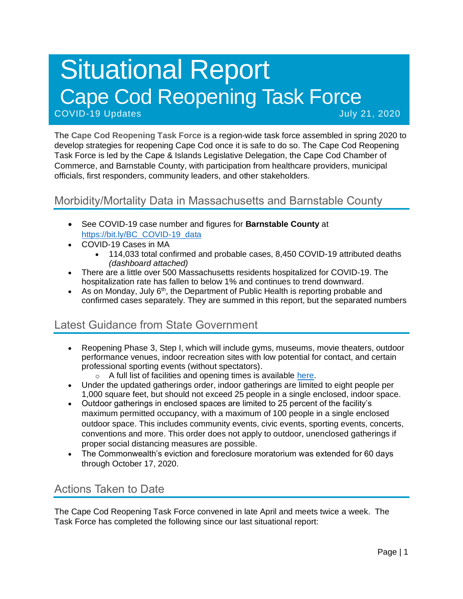# Situational Report Cape Cod Reopening Task Force COVID-19 Updates and Covid-19 Updates July 21, 2020

The **Cape Cod Reopening Task Force** is a region-wide task force assembled in spring 2020 to develop strategies for reopening Cape Cod once it is safe to do so. The Cape Cod Reopening Task Force is led by the Cape & Islands Legislative Delegation, the Cape Cod Chamber of Commerce, and Barnstable County, with participation from healthcare providers, municipal officials, first responders, community leaders, and other stakeholders.

## Morbidity/Mortality Data in Massachusetts and Barnstable County

- See COVID-19 case number and figures for **Barnstable County** at [https://bit.ly/BC\\_COVID-19\\_data](https://bit.ly/BC_COVID-19_data)
- COVID-19 Cases in MA
	- 114,033 total confirmed and probable cases, 8,450 COVID-19 attributed deaths *(dashboard attached)*
- There are a little over 500 Massachusetts residents hospitalized for COVID-19. The hospitalization rate has fallen to below 1% and continues to trend downward.
- As on Monday, July  $6<sup>th</sup>$ , the Department of Public Health is reporting probable and confirmed cases separately. They are summed in this report, but the separated numbers

# Latest Guidance from State Government

- Reopening Phase 3, Step I, which will include gyms, museums, movie theaters, outdoor performance venues, indoor recreation sites with low potential for contact, and certain professional sporting events (without spectators).
	- o A full list of facilities and opening times is available [here.](https://www.mass.gov/info-details/reopening-when-can-my-business-reopen)
- Under the updated gatherings order, indoor gatherings are limited to eight people per 1,000 square feet, but should not exceed 25 people in a single enclosed, indoor space.
- Outdoor gatherings in enclosed spaces are limited to 25 percent of the facility's maximum permitted occupancy, with a maximum of 100 people in a single enclosed outdoor space. This includes community events, civic events, sporting events, concerts, conventions and more. This order does not apply to outdoor, unenclosed gatherings if proper social distancing measures are possible.
- The Commonwealth's eviction and foreclosure moratorium was extended for 60 days through October 17, 2020.

## Actions Taken to Date

The Cape Cod Reopening Task Force convened in late April and meets twice a week. The Task Force has completed the following since our last situational report: